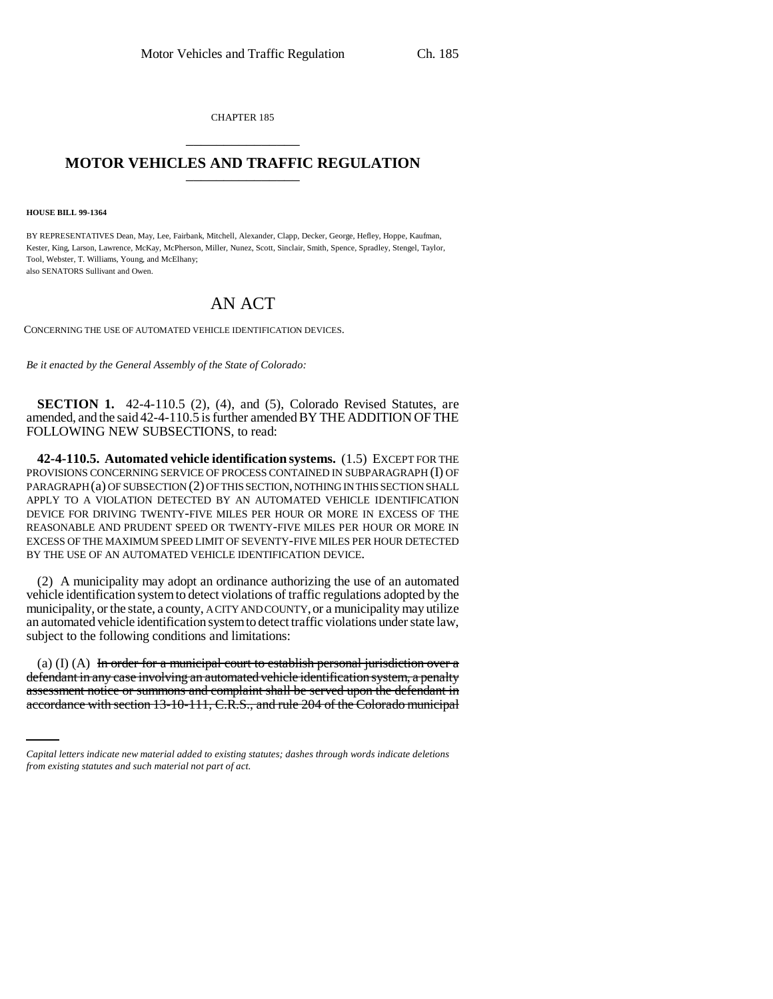CHAPTER 185 \_\_\_\_\_\_\_\_\_\_\_\_\_\_\_

## **MOTOR VEHICLES AND TRAFFIC REGULATION**

**HOUSE BILL 99-1364**

BY REPRESENTATIVES Dean, May, Lee, Fairbank, Mitchell, Alexander, Clapp, Decker, George, Hefley, Hoppe, Kaufman, Kester, King, Larson, Lawrence, McKay, McPherson, Miller, Nunez, Scott, Sinclair, Smith, Spence, Spradley, Stengel, Taylor, Tool, Webster, T. Williams, Young, and McElhany; also SENATORS Sullivant and Owen.

## AN ACT

CONCERNING THE USE OF AUTOMATED VEHICLE IDENTIFICATION DEVICES.

*Be it enacted by the General Assembly of the State of Colorado:*

**SECTION 1.** 42-4-110.5 (2), (4), and (5), Colorado Revised Statutes, are amended, and the said 42-4-110.5 is further amended BY THE ADDITION OF THE FOLLOWING NEW SUBSECTIONS, to read:

**42-4-110.5. Automated vehicle identification systems.** (1.5) EXCEPT FOR THE PROVISIONS CONCERNING SERVICE OF PROCESS CONTAINED IN SUBPARAGRAPH (I) OF PARAGRAPH (a) OF SUBSECTION (2) OF THIS SECTION, NOTHING IN THIS SECTION SHALL APPLY TO A VIOLATION DETECTED BY AN AUTOMATED VEHICLE IDENTIFICATION DEVICE FOR DRIVING TWENTY-FIVE MILES PER HOUR OR MORE IN EXCESS OF THE REASONABLE AND PRUDENT SPEED OR TWENTY-FIVE MILES PER HOUR OR MORE IN EXCESS OF THE MAXIMUM SPEED LIMIT OF SEVENTY-FIVE MILES PER HOUR DETECTED BY THE USE OF AN AUTOMATED VEHICLE IDENTIFICATION DEVICE.

(2) A municipality may adopt an ordinance authorizing the use of an automated vehicle identification system to detect violations of traffic regulations adopted by the municipality, or the state, a county, A CITY AND COUNTY, or a municipality may utilize an automated vehicle identification system to detect traffic violations under state law, subject to the following conditions and limitations:

defendant in any case involving an automated vehicle identification system, a penalty (a)  $(I)$  (A) In order for a municipal court to establish personal jurisdiction over a assessment notice or summons and complaint shall be served upon the defendant in accordance with section 13-10-111, C.R.S., and rule 204 of the Colorado municipal

*Capital letters indicate new material added to existing statutes; dashes through words indicate deletions from existing statutes and such material not part of act.*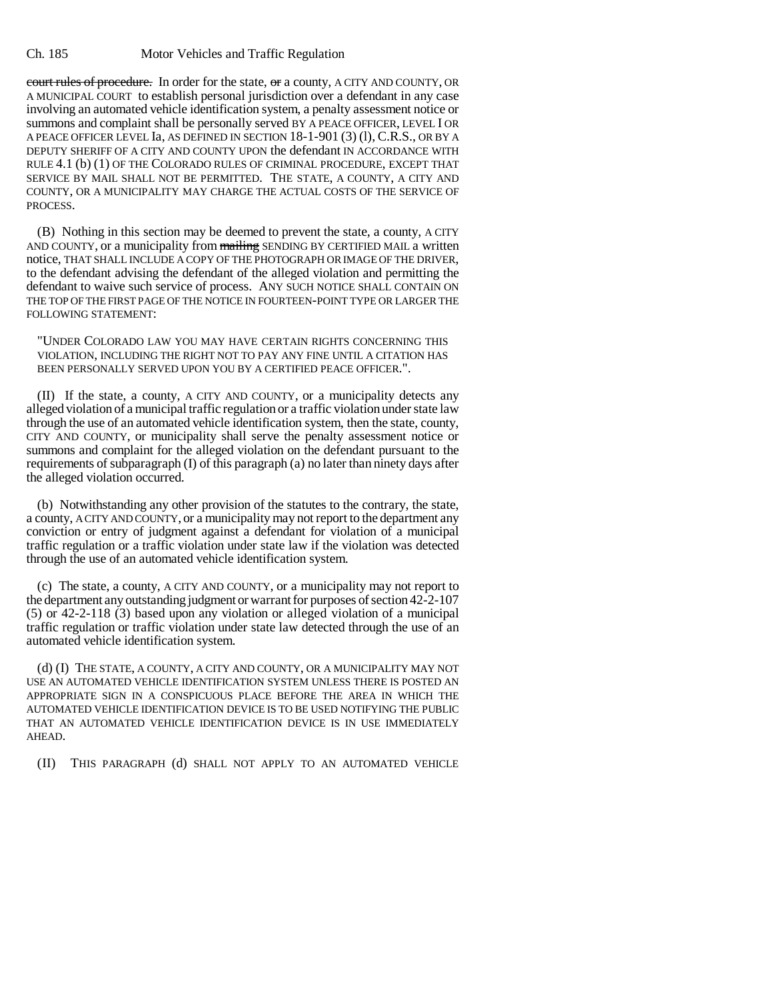## Ch. 185 Motor Vehicles and Traffic Regulation

court rules of procedure. In order for the state, or a county, A CITY AND COUNTY, OR A MUNICIPAL COURT to establish personal jurisdiction over a defendant in any case involving an automated vehicle identification system, a penalty assessment notice or summons and complaint shall be personally served BY A PEACE OFFICER, LEVEL I OR A PEACE OFFICER LEVEL Ia, AS DEFINED IN SECTION 18-1-901 (3) (l), C.R.S., OR BY A DEPUTY SHERIFF OF A CITY AND COUNTY UPON the defendant IN ACCORDANCE WITH RULE 4.1 (b) (1) OF THE COLORADO RULES OF CRIMINAL PROCEDURE, EXCEPT THAT SERVICE BY MAIL SHALL NOT BE PERMITTED. THE STATE, A COUNTY, A CITY AND COUNTY, OR A MUNICIPALITY MAY CHARGE THE ACTUAL COSTS OF THE SERVICE OF PROCESS.

(B) Nothing in this section may be deemed to prevent the state, a county, A CITY AND COUNTY, or a municipality from mailing SENDING BY CERTIFIED MAIL a written notice, THAT SHALL INCLUDE A COPY OF THE PHOTOGRAPH OR IMAGE OF THE DRIVER, to the defendant advising the defendant of the alleged violation and permitting the defendant to waive such service of process. ANY SUCH NOTICE SHALL CONTAIN ON THE TOP OF THE FIRST PAGE OF THE NOTICE IN FOURTEEN-POINT TYPE OR LARGER THE FOLLOWING STATEMENT:

"UNDER COLORADO LAW YOU MAY HAVE CERTAIN RIGHTS CONCERNING THIS VIOLATION, INCLUDING THE RIGHT NOT TO PAY ANY FINE UNTIL A CITATION HAS BEEN PERSONALLY SERVED UPON YOU BY A CERTIFIED PEACE OFFICER.".

(II) If the state, a county, A CITY AND COUNTY, or a municipality detects any alleged violation of a municipal traffic regulation or a traffic violation under state law through the use of an automated vehicle identification system, then the state, county, CITY AND COUNTY, or municipality shall serve the penalty assessment notice or summons and complaint for the alleged violation on the defendant pursuant to the requirements of subparagraph (I) of this paragraph (a) no later than ninety days after the alleged violation occurred.

(b) Notwithstanding any other provision of the statutes to the contrary, the state, a county, A CITY AND COUNTY, or a municipality may not report to the department any conviction or entry of judgment against a defendant for violation of a municipal traffic regulation or a traffic violation under state law if the violation was detected through the use of an automated vehicle identification system.

(c) The state, a county, A CITY AND COUNTY, or a municipality may not report to the department any outstanding judgment or warrant for purposes of section 42-2-107 (5) or 42-2-118 (3) based upon any violation or alleged violation of a municipal traffic regulation or traffic violation under state law detected through the use of an automated vehicle identification system.

(d) (I) THE STATE, A COUNTY, A CITY AND COUNTY, OR A MUNICIPALITY MAY NOT USE AN AUTOMATED VEHICLE IDENTIFICATION SYSTEM UNLESS THERE IS POSTED AN APPROPRIATE SIGN IN A CONSPICUOUS PLACE BEFORE THE AREA IN WHICH THE AUTOMATED VEHICLE IDENTIFICATION DEVICE IS TO BE USED NOTIFYING THE PUBLIC THAT AN AUTOMATED VEHICLE IDENTIFICATION DEVICE IS IN USE IMMEDIATELY AHEAD.

(II) THIS PARAGRAPH (d) SHALL NOT APPLY TO AN AUTOMATED VEHICLE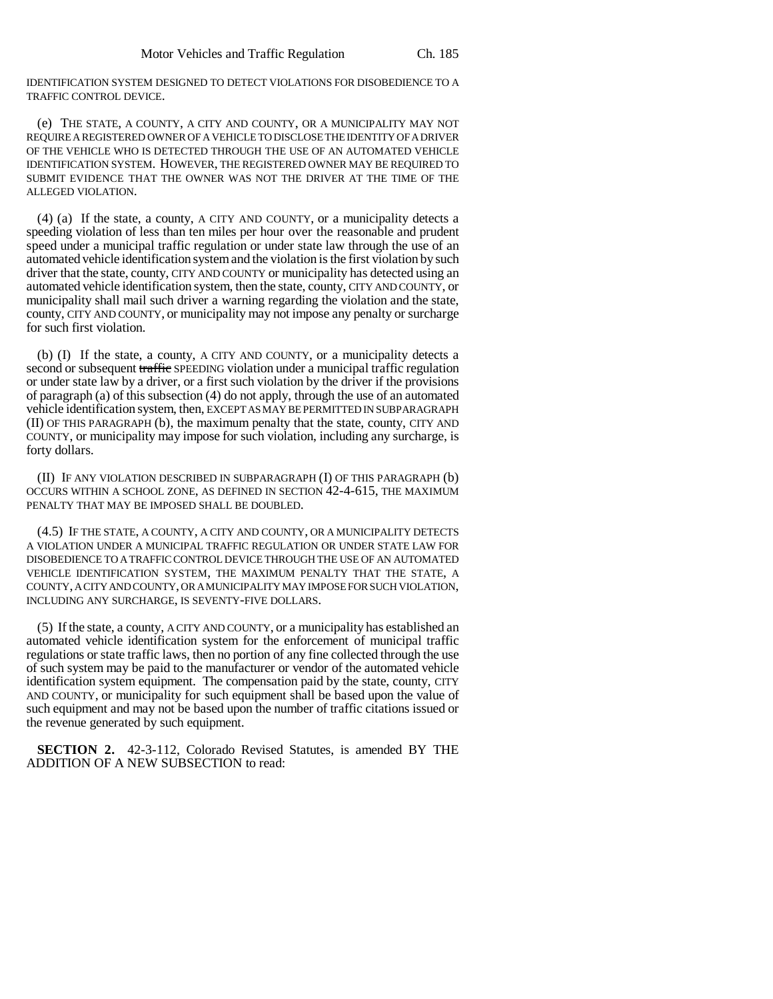IDENTIFICATION SYSTEM DESIGNED TO DETECT VIOLATIONS FOR DISOBEDIENCE TO A TRAFFIC CONTROL DEVICE.

(e) THE STATE, A COUNTY, A CITY AND COUNTY, OR A MUNICIPALITY MAY NOT REQUIRE A REGISTERED OWNER OF A VEHICLE TO DISCLOSE THE IDENTITY OF A DRIVER OF THE VEHICLE WHO IS DETECTED THROUGH THE USE OF AN AUTOMATED VEHICLE IDENTIFICATION SYSTEM. HOWEVER, THE REGISTERED OWNER MAY BE REQUIRED TO SUBMIT EVIDENCE THAT THE OWNER WAS NOT THE DRIVER AT THE TIME OF THE ALLEGED VIOLATION.

(4) (a) If the state, a county, A CITY AND COUNTY, or a municipality detects a speeding violation of less than ten miles per hour over the reasonable and prudent speed under a municipal traffic regulation or under state law through the use of an automated vehicle identification system and the violation is the first violation by such driver that the state, county, CITY AND COUNTY or municipality has detected using an automated vehicle identification system, then the state, county, CITY AND COUNTY, or municipality shall mail such driver a warning regarding the violation and the state, county, CITY AND COUNTY, or municipality may not impose any penalty or surcharge for such first violation.

(b) (I) If the state, a county, A CITY AND COUNTY, or a municipality detects a second or subsequent traffic SPEEDING violation under a municipal traffic regulation or under state law by a driver, or a first such violation by the driver if the provisions of paragraph (a) of this subsection (4) do not apply, through the use of an automated vehicle identification system, then, EXCEPT AS MAY BE PERMITTED IN SUBPARAGRAPH (II) OF THIS PARAGRAPH (b), the maximum penalty that the state, county, CITY AND COUNTY, or municipality may impose for such violation, including any surcharge, is forty dollars.

(II) IF ANY VIOLATION DESCRIBED IN SUBPARAGRAPH (I) OF THIS PARAGRAPH (b) OCCURS WITHIN A SCHOOL ZONE, AS DEFINED IN SECTION 42-4-615, THE MAXIMUM PENALTY THAT MAY BE IMPOSED SHALL BE DOUBLED.

(4.5) IF THE STATE, A COUNTY, A CITY AND COUNTY, OR A MUNICIPALITY DETECTS A VIOLATION UNDER A MUNICIPAL TRAFFIC REGULATION OR UNDER STATE LAW FOR DISOBEDIENCE TO A TRAFFIC CONTROL DEVICE THROUGH THE USE OF AN AUTOMATED VEHICLE IDENTIFICATION SYSTEM, THE MAXIMUM PENALTY THAT THE STATE, A COUNTY, A CITY AND COUNTY, OR A MUNICIPALITY MAY IMPOSE FOR SUCH VIOLATION, INCLUDING ANY SURCHARGE, IS SEVENTY-FIVE DOLLARS.

(5) If the state, a county, A CITY AND COUNTY, or a municipality has established an automated vehicle identification system for the enforcement of municipal traffic regulations or state traffic laws, then no portion of any fine collected through the use of such system may be paid to the manufacturer or vendor of the automated vehicle identification system equipment. The compensation paid by the state, county, CITY AND COUNTY, or municipality for such equipment shall be based upon the value of such equipment and may not be based upon the number of traffic citations issued or the revenue generated by such equipment.

**SECTION 2.** 42-3-112, Colorado Revised Statutes, is amended BY THE ADDITION OF A NEW SUBSECTION to read: